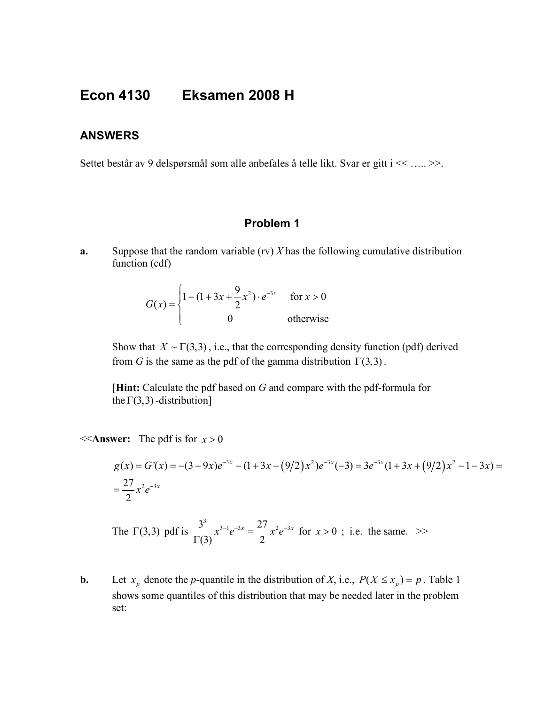## **Econ 4130 Eksamen 2008 H**

## **ANSWERS**

Settet består av 9 delspørsmål som alle anbefales å telle likt. Svar er gitt i << ….. >>.

## **Problem 1**

**a.** Suppose that the random variable (rv) *X* has the following cumulative distribution function (cdf)

$$
G(x) = \begin{cases} 1 - (1 + 3x + \frac{9}{2}x^{2}) \cdot e^{-3x} & \text{for } x > 0 \\ 0 & \text{otherwise} \end{cases}
$$

Show that  $X \sim \Gamma(3,3)$ , i.e., that the corresponding density function (pdf) derived from *G* is the same as the pdf of the gamma distribution  $\Gamma(3,3)$ .

[**Hint:** Calculate the pdf based on *G* and compare with the pdf-formula for the  $\Gamma(3,3)$ -distribution]

 $<<$  **Answer:** The pdf is for  $x > 0$ 

$$
g(x) = G'(x) = -(3+9x)e^{-3x} - (1+3x+(9/2)x^2)e^{-3x}(-3) = 3e^{-3x}(1+3x+(9/2)x^2 - 1-3x) = \frac{27}{2}x^2e^{-3x}
$$

The  $\Gamma(3,3)$  pdf is  $\frac{3^3}{\Gamma(3)} x^{3-1} e^{-3x} = \frac{27}{2} x^2 e^{-3}$  $\frac{3}{\Gamma(3)} x^{3-1} e^{-3x} = \frac{27}{2} x^2 e^{-3x}$  for  $x > 0$ ; i.e. the same. >>

**b.** Let  $x_p$  denote the *p*-quantile in the distribution of *X*, i.e.,  $P(X \le x_p) = p$ . Table 1 shows some quantiles of this distribution that may be needed later in the problem set: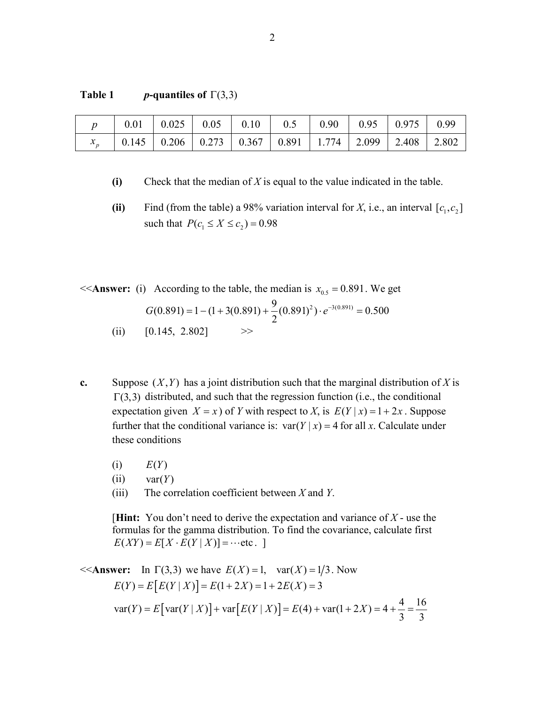| Table 1 | <i>p</i> -quantiles of $\Gamma(3,3)$ |
|---------|--------------------------------------|
|---------|--------------------------------------|

|                                                                                                                               |  | $0.01$   $0.025$   $0.05$   $0.10$   $0.5$   $0.90$   $0.95$   $0.975$   $0.99$ |  |  |
|-------------------------------------------------------------------------------------------------------------------------------|--|---------------------------------------------------------------------------------|--|--|
| $\vert$ 0.145 $\vert$ 0.206 $\vert$ 0.273 $\vert$ 0.367 $\vert$ 0.891 $\vert$ 1.774 $\vert$ 2.099 $\vert$ 2.408 $\vert$ 2.802 |  |                                                                                 |  |  |

**(i)** Check that the median of *X* is equal to the value indicated in the table.

(ii) Find (from the table) a 98% variation interval for *X*, i.e., an interval  $[c_1, c_2]$ such that  $P(c_1 \le X \le c_2) = 0.98$ 

 $<<$ **Answer:** (i) According to the table, the median is  $x_{0.5} = 0.891$ . We get

$$
G(0.891) = 1 - (1 + 3(0.891) + \frac{9}{2}(0.891)^2) \cdot e^{-3(0.891)} = 0.500
$$

- (ii)  $[0.145, 2.802]$  >>
- **c.** Suppose  $(X, Y)$  has a joint distribution such that the marginal distribution of *X* is  $\Gamma(3,3)$  distributed, and such that the regression function (i.e., the conditional expectation given  $X = x$ ) of *Y* with respect to *X*, is  $E(Y | x) = 1 + 2x$ . Suppose further that the conditional variance is:  $var(Y | x) = 4$  for all *x*. Calculate under these conditions
	- $E(Y)$
	- $(iii)$  var $(Y)$
	- (iii) The correlation coefficient between *X* and *Y*.

[**Hint:** You don't need to derive the expectation and variance of *X* - use the formulas for the gamma distribution. To find the covariance, calculate first  $E(XY) = E[X \cdot E(Y | X)] = \cdots$ etc.

$$
\begin{aligned}\n&< \text{Answer:} \quad \text{In } \Gamma(3,3) \text{ we have } E(X) = 1, \quad \text{var}(X) = 1/3. \text{ Now} \\
& E(Y) = E\left[E(Y \mid X)\right] = E(1 + 2X) = 1 + 2E(X) = 3 \\
&\text{var}(Y) = E\left[\text{var}(Y \mid X)\right] + \text{var}\left[E(Y \mid X)\right] = E(4) + \text{var}(1 + 2X) = 4 + \frac{4}{3} = \frac{16}{3}\n\end{aligned}
$$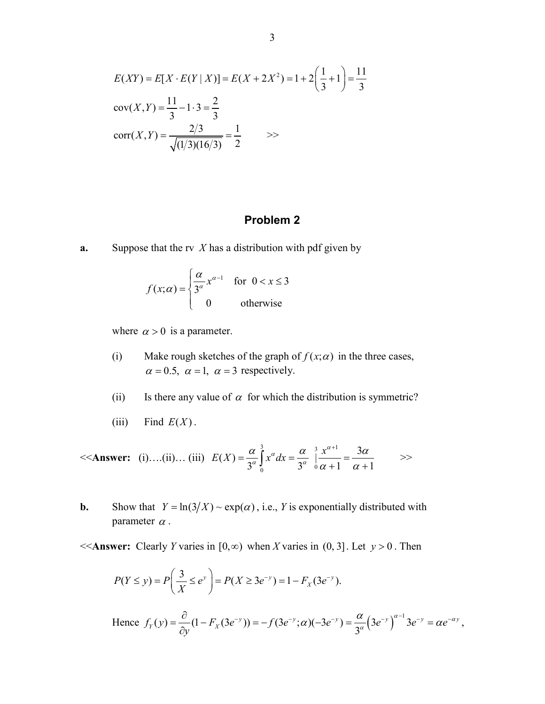$$
E(XY) = E[X \cdot E(Y | X)] = E(X + 2X^2) = 1 + 2\left(\frac{1}{3} + 1\right) = \frac{11}{3}
$$
  
cov(X, Y) =  $\frac{11}{3} - 1 \cdot 3 = \frac{2}{3}$   
corr(X, Y) =  $\frac{2/3}{\sqrt{(1/3)(16/3)}} = \frac{1}{2}$   $\Rightarrow$ 

## **Problem 2**

**a.** Suppose that the rv *X* has a distribution with pdf given by

$$
f(x; \alpha) = \begin{cases} \frac{\alpha}{3^{\alpha}} x^{\alpha - 1} & \text{for } 0 < x \le 3 \\ 0 & \text{otherwise} \end{cases}
$$

where  $\alpha > 0$  is a parameter.

- (i) Make rough sketches of the graph of  $f(x; \alpha)$  in the three cases,  $\alpha = 0.5$ ,  $\alpha = 1$ ,  $\alpha = 3$  respectively.
- (ii) Is there any value of  $\alpha$  for which the distribution is symmetric?
- (iii) Find  $E(X)$ .

<<**Answer:** (i)….(ii)… (iii)  $\alpha$  3  $x^{\alpha+1}$  $E(X) = \frac{\alpha}{3^{\alpha}} \int_{0}^{x} x^{\alpha} dx = \frac{\alpha}{3^{\alpha}} \int_{0}^{3} \frac{x^{\alpha+1}}{\alpha+1} = \frac{3\alpha}{\alpha+1}$  $\alpha$  1  $\alpha$  $\alpha$  and  $\alpha$  and  $\alpha$  and  $\alpha$  $\alpha + 1$   $\alpha$ +  $=\frac{\alpha}{3^{\alpha}}\int_{0}^{x^{\alpha}}dx=\frac{\alpha}{3^{\alpha}}\int_{0}^{\infty}\frac{x}{\alpha+1}=\frac{3\alpha}{\alpha+1}$  >>

**b.** Show that  $Y = \ln(3/X) \sim \exp(\alpha)$ , i.e., *Y* is exponentially distributed with parameter  $\alpha$ .

 $<<$  **Answer:** Clearly *Y* varies in [0, $\infty$ ) when *X* varies in (0, 3]. Let  $y > 0$ . Then

$$
P(Y \le y) = P\left(\frac{3}{X} \le e^y\right) = P(X \ge 3e^{-y}) = 1 - F_X(3e^{-y}).
$$

Hence 
$$
f_Y(y) = \frac{\partial}{\partial y}(1 - F_X(3e^{-y})) = -f(3e^{-y}; \alpha)(-3e^{-y}) = \frac{\alpha}{3^{\alpha}}(3e^{-y})^{\alpha-1}3e^{-y} = \alpha e^{-\alpha y}
$$
,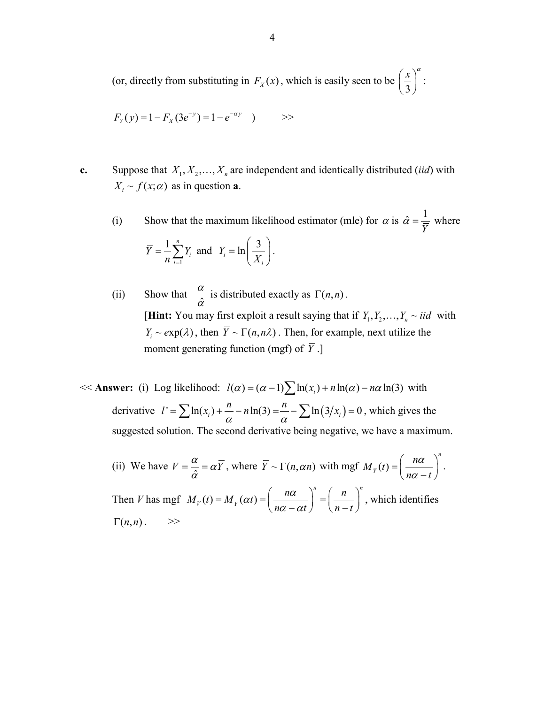(or, directly from substituting in  $F_x(x)$ , which is easily seen to be  $\frac{\pi}{3}$  $\left(\frac{x}{3}\right)^{\alpha}$ :

$$
F_Y(y) = 1 - F_X(3e^{-y}) = 1 - e^{-\alpha y}
$$
 >

**c.** Suppose that  $X_1, X_2, \ldots, X_n$  are independent and identically distributed *(iid)* with  $X_i \sim f(x; \alpha)$  as in question **a**.

(i) Show that the maximum likelihood estimator (mle) for  $\alpha$  is  $\hat{\alpha} = \frac{1}{\overline{Y}}$  where 1 1 *<sup>n</sup> i i*  $Y = \frac{1}{2} Y$  $=\frac{1}{n}\sum_{i=1}^{n} Y_i$  and  $Y_i = \ln\left(\frac{3}{X}\right)$ *i Y*  $=\ln\left(\frac{3}{X_i}\right)$ .

(ii) Show that  $\frac{\alpha}{\hat{\alpha}}$  $\frac{\alpha}{\hat{\alpha}}$  is distributed exactly as  $\Gamma(n,n)$ . [**Hint:** You may first exploit a result saying that if  $Y_1, Y_2, \ldots, Y_n \sim iid$  with  $Y_i \sim exp(\lambda)$ , then  $\overline{Y} \sim \Gamma(n, n\lambda)$ . Then, for example, next utilize the moment generating function (mgf) of  $\overline{Y}$ .]

 $<<$  **Answer:** (i) Log likelihood:  $l(\alpha) = (\alpha - 1)\sum ln(x_i) + n ln(\alpha) - n\alpha ln(3)$  with derivative  $l' = \sum \ln(x_i) + \frac{n}{\alpha} - n \ln(3) = \frac{n}{\alpha} - \sum \ln(3/x_i) = 0$ , which gives the suggested solution. The second derivative being negative, we have a maximum.

(ii) We have  $V = \frac{\alpha}{\hat{\alpha}} = \alpha \overline{Y}$ , where  $\overline{Y} \sim \Gamma(n, \alpha n)$  with mgf  $M_{\overline{Y}}(t)$ *n*  $M_{\bar{Y}}(t) = \left(\frac{n}{n\alpha}\right)$  $n\alpha - t$ α  $=\left(\frac{n\alpha}{n\alpha-t}\right)^n$ . Then *V* has mgf  $M_V(t) = M_{\overline{V}}(\alpha t)$  $n \lt n$  $M_V(t) = M_{\overline{Y}}(\alpha t) = \left(\frac{n\alpha}{n\alpha} \right)^n = \left(\frac{n\alpha}{n\alpha}\right)^n$  $n\alpha - \alpha t$   $\bigvee$   $n-t$  $\alpha(t) = \frac{n\alpha}{2}$  $= M_{\overline{Y}}(\alpha t) = \left(\frac{n\alpha}{n\alpha - \alpha t}\right)^n = \left(\frac{n}{n-t}\right)^n$ , which identifies  $\Gamma(n,n)$ .  $\gg$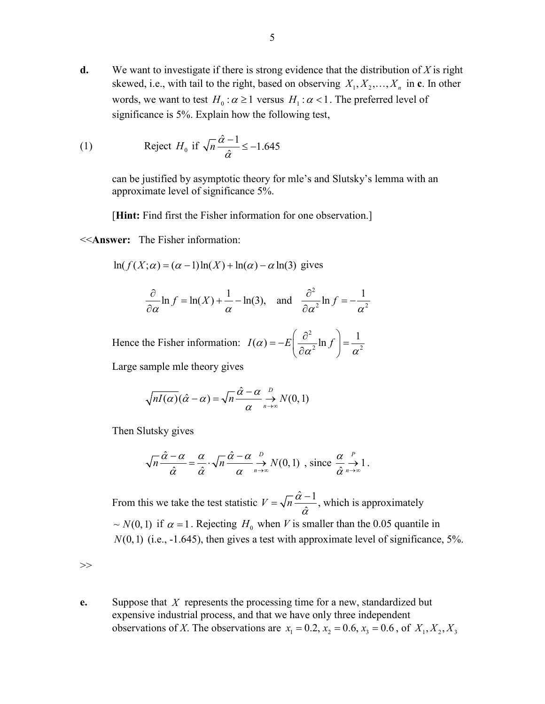**d.** We want to investigate if there is strong evidence that the distribution of *X* is right skewed, i.e., with tail to the right, based on observing  $X_1, X_2, \ldots, X_n$  in **c**. In other words, we want to test  $H_0$  :  $\alpha \ge 1$  versus  $H_1$  :  $\alpha < 1$ . The preferred level of significance is 5%. Explain how the following test,

(1) Reject 
$$
H_0
$$
 if  $\sqrt{n} \frac{\hat{\alpha} - 1}{\hat{\alpha}} \le -1.645$ 

can be justified by asymptotic theory for mle's and Slutsky's lemma with an approximate level of significance 5%.

[**Hint:** Find first the Fisher information for one observation.]

<<**Answer:** The Fisher information:

 $ln(f(X; \alpha) = (\alpha - 1)ln(X) + ln(\alpha) - \alpha ln(3)$  gives

$$
\frac{\partial}{\partial \alpha} \ln f = \ln(X) + \frac{1}{\alpha} - \ln(3), \quad \text{and} \quad \frac{\partial^2}{\partial \alpha^2} \ln f = -\frac{1}{\alpha^2}
$$

Hence the Fisher information: 2  $I(\alpha) = -E\left(\frac{\partial^2}{\partial \alpha^2} \ln f\right) = \frac{1}{\alpha^2}$ 

Large sample mle theory gives

$$
\sqrt{nI(\alpha)}(\hat{\alpha}-\alpha) = \sqrt{n}\frac{\hat{\alpha}-\alpha}{\alpha} \underset{n\to\infty}{\to} N(0,1)
$$

Then Slutsky gives

$$
\sqrt{n}\frac{\hat{\alpha}-\alpha}{\hat{\alpha}}=\frac{\alpha}{\hat{\alpha}}\cdot\sqrt{n}\frac{\hat{\alpha}-\alpha}{\alpha}\mathop{\to}\limits_{n\to\infty}^{D}N(0,1)\;\;,\;\text{since}\;\frac{\alpha}{\hat{\alpha}}\mathop{\to}\limits_{n\to\infty}^{P}1\,.
$$

From this we take the test statistic  $V = \sqrt{n} \frac{\hat{\alpha} - 1}{\hat{\alpha}}$ , which is approximately  $\sim N(0,1)$  if  $\alpha = 1$ . Rejecting  $H_0$  when *V* is smaller than the 0.05 quantile in  $N(0,1)$  (i.e.,  $-1.645$ ), then gives a test with approximate level of significance,  $5\%$ .

 $>>$ 

**e.** Suppose that *X* represents the processing time for a new, standardized but expensive industrial process, and that we have only three independent observations of *X*. The observations are  $x_1 = 0.2$ ,  $x_2 = 0.6$ ,  $x_3 = 0.6$ , of  $X_1, X_2, X_3$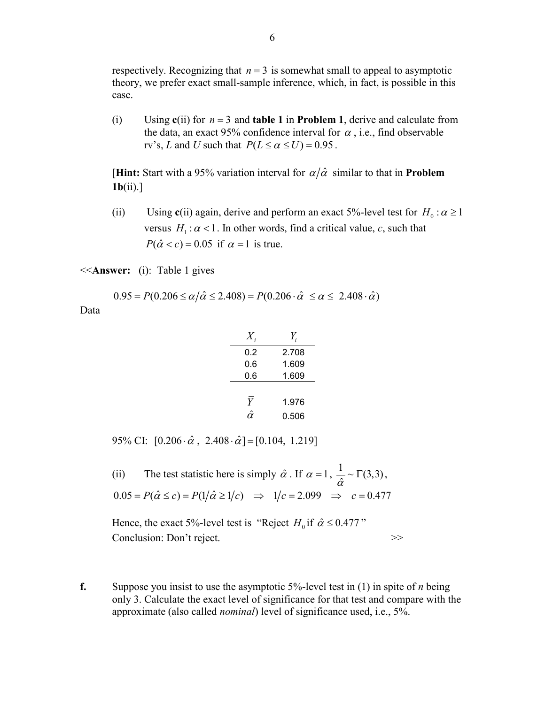respectively. Recognizing that  $n = 3$  is somewhat small to appeal to asymptotic theory, we prefer exact small-sample inference, which, in fact, is possible in this case.

(i) Using **c**(ii) for *n* = 3 and **table 1** in **Problem 1**, derive and calculate from the data, an exact 95% confidence interval for  $\alpha$ , i.e., find observable rv's, *L* and *U* such that  $P(L \le \alpha \le U) = 0.95$ .

**[Hint:** Start with a 95% variation interval for  $\alpha/\hat{\alpha}$  similar to that in **Problem 1b**(ii).]

(ii) Using **c**(ii) again, derive and perform an exact 5%-level test for  $H_0: \alpha \ge 1$ versus  $H_1$ :  $\alpha$  < 1. In other words, find a critical value, *c*, such that  $P(\hat{\alpha} < c) = 0.05$  if  $\alpha = 1$  is true.

<<**Answer:** (i): Table 1 gives

$$
0.95 = P(0.206 \le \alpha/\hat{\alpha} \le 2.408) = P(0.206 \cdot \hat{\alpha} \le \alpha \le 2.408 \cdot \hat{\alpha})
$$

Data

| 0.2 | 2.708 |
|-----|-------|
| 0.6 | 1.609 |
| 0.6 | 1.609 |
|     |       |
| Y   | 1.976 |
|     | 0.506 |

95% CI:  $[0.206 \cdot \hat{\alpha}, 2.408 \cdot \hat{\alpha}] = [0.104, 1.219]$ 

(ii) The test statistic here is simply  $\hat{\alpha}$ . If  $\alpha = 1$ ,  $\frac{1}{\hat{\alpha}} \sim \Gamma(3,3)$ ,  $0.05 = P(\hat{\alpha} \le c) = P(1/\hat{\alpha} \ge 1/c) \Rightarrow 1/c = 2.099 \Rightarrow c = 0.477$ 

Hence, the exact 5%-level test is "Reject  $H_0$  if  $\hat{\alpha} \le 0.477$ " Conclusion: Don't reject.

**f.** Suppose you insist to use the asymptotic 5%-level test in (1) in spite of *n* being only 3. Calculate the exact level of significance for that test and compare with the approximate (also called *nominal*) level of significance used, i.e., 5%.